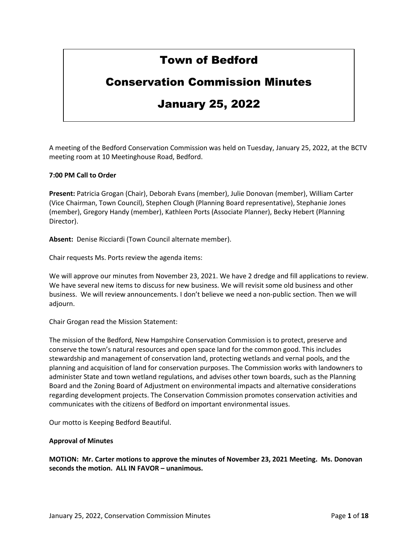# Town of Bedford

## Conservation Commission Minutes

# January 25, 2022

A meeting of the Bedford Conservation Commission was held on Tuesday, January 25, 2022, at the BCTV meeting room at 10 Meetinghouse Road, Bedford.

## **7:00 PM Call to Order**

**Present:** Patricia Grogan (Chair), Deborah Evans (member), Julie Donovan (member), William Carter (Vice Chairman, Town Council), Stephen Clough (Planning Board representative), Stephanie Jones (member), Gregory Handy (member), Kathleen Ports (Associate Planner), Becky Hebert (Planning Director).

**Absent:** Denise Ricciardi (Town Council alternate member).

Chair requests Ms. Ports review the agenda items:

We will approve our minutes from November 23, 2021. We have 2 dredge and fill applications to review. We have several new items to discuss for new business. We will revisit some old business and other business. We will review announcements. I don't believe we need a non-public section. Then we will adjourn.

Chair Grogan read the Mission Statement:

The mission of the Bedford, New Hampshire Conservation Commission is to protect, preserve and conserve the town's natural resources and open space land for the common good. This includes stewardship and management of conservation land, protecting wetlands and vernal pools, and the planning and acquisition of land for conservation purposes. The Commission works with landowners to administer State and town wetland regulations, and advises other town boards, such as the Planning Board and the Zoning Board of Adjustment on environmental impacts and alternative considerations regarding development projects. The Conservation Commission promotes conservation activities and communicates with the citizens of Bedford on important environmental issues.

Our motto is Keeping Bedford Beautiful.

#### **Approval of Minutes**

**MOTION: Mr. Carter motions to approve the minutes of November 23, 2021 Meeting. Ms. Donovan seconds the motion. ALL IN FAVOR – unanimous.**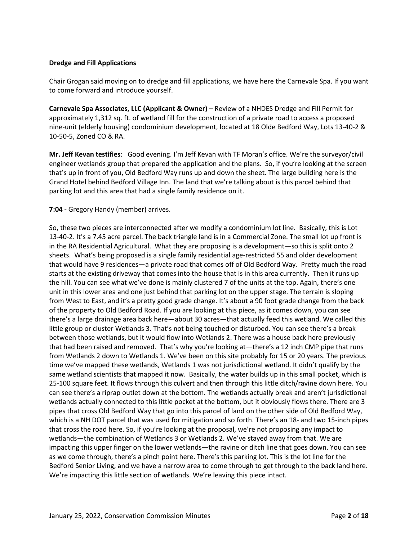### **Dredge and Fill Applications**

Chair Grogan said moving on to dredge and fill applications, we have here the Carnevale Spa. If you want to come forward and introduce yourself.

**Carnevale Spa Associates, LLC (Applicant & Owner)** – Review of a NHDES Dredge and Fill Permit for approximately 1,312 sq. ft. of wetland fill for the construction of a private road to access a proposed nine-unit (elderly housing) condominium development, located at 18 Olde Bedford Way, Lots 13-40-2 & 10-50-5, Zoned CO & RA.

**Mr. Jeff Kevan testifies**: Good evening. I'm Jeff Kevan with TF Moran's office. We're the surveyor/civil engineer wetlands group that prepared the application and the plans. So, if you're looking at the screen that's up in front of you, Old Bedford Way runs up and down the sheet. The large building here is the Grand Hotel behind Bedford Village Inn. The land that we're talking about is this parcel behind that parking lot and this area that had a single family residence on it.

#### **7:04 -** Gregory Handy (member) arrives.

So, these two pieces are interconnected after we modify a condominium lot line. Basically, this is Lot 13-40-2. It's a 7.45 acre parcel. The back triangle land is in a Commercial Zone. The small lot up front is in the RA Residential Agricultural. What they are proposing is a development—so this is split onto 2 sheets. What's being proposed is a single family residential age-restricted 55 and older development that would have 9 residences—a private road that comes off of Old Bedford Way. Pretty much the road starts at the existing driveway that comes into the house that is in this area currently. Then it runs up the hill. You can see what we've done is mainly clustered 7 of the units at the top. Again, there's one unit in this lower area and one just behind that parking lot on the upper stage. The terrain is sloping from West to East, and it's a pretty good grade change. It's about a 90 foot grade change from the back of the property to Old Bedford Road. If you are looking at this piece, as it comes down, you can see there's a large drainage area back here—about 30 acres—that actually feed this wetland. We called this little group or cluster Wetlands 3. That's not being touched or disturbed. You can see there's a break between those wetlands, but it would flow into Wetlands 2. There was a house back here previously that had been raised and removed. That's why you're looking at—there's a 12 inch CMP pipe that runs from Wetlands 2 down to Wetlands 1. We've been on this site probably for 15 or 20 years. The previous time we've mapped these wetlands, Wetlands 1 was not jurisdictional wetland. It didn't qualify by the same wetland scientists that mapped it now. Basically, the water builds up in this small pocket, which is 25-100 square feet. It flows through this culvert and then through this little ditch/ravine down here. You can see there's a riprap outlet down at the bottom. The wetlands actually break and aren't jurisdictional wetlands actually connected to this little pocket at the bottom, but it obviously flows there. There are 3 pipes that cross Old Bedford Way that go into this parcel of land on the other side of Old Bedford Way, which is a NH DOT parcel that was used for mitigation and so forth. There's an 18- and two 15-inch pipes that cross the road here. So, if you're looking at the proposal, we're not proposing any impact to wetlands—the combination of Wetlands 3 or Wetlands 2. We've stayed away from that. We are impacting this upper finger on the lower wetlands—the ravine or ditch line that goes down. You can see as we come through, there's a pinch point here. There's this parking lot. This is the lot line for the Bedford Senior Living, and we have a narrow area to come through to get through to the back land here. We're impacting this little section of wetlands. We're leaving this piece intact.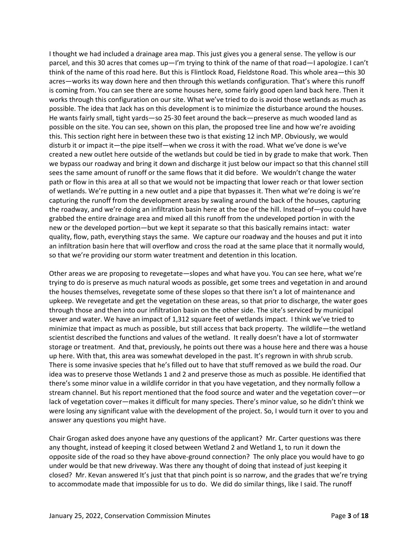I thought we had included a drainage area map. This just gives you a general sense. The yellow is our parcel, and this 30 acres that comes up—I'm trying to think of the name of that road—I apologize. I can't think of the name of this road here. But this is Flintlock Road, Fieldstone Road. This whole area—this 30 acres—works its way down here and then through this wetlands configuration. That's where this runoff is coming from. You can see there are some houses here, some fairly good open land back here. Then it works through this configuration on our site. What we've tried to do is avoid those wetlands as much as possible. The idea that Jack has on this development is to minimize the disturbance around the houses. He wants fairly small, tight yards—so 25-30 feet around the back—preserve as much wooded land as possible on the site. You can see, shown on this plan, the proposed tree line and how we're avoiding this. This section right here in between these two is that existing 12 inch MP. Obviously, we would disturb it or impact it—the pipe itself—when we cross it with the road. What we've done is we've created a new outlet here outside of the wetlands but could be tied in by grade to make that work. Then we bypass our roadway and bring it down and discharge it just below our impact so that this channel still sees the same amount of runoff or the same flows that it did before. We wouldn't change the water path or flow in this area at all so that we would not be impacting that lower reach or that lower section of wetlands. We're putting in a new outlet and a pipe that bypasses it. Then what we're doing is we're capturing the runoff from the development areas by swaling around the back of the houses, capturing the roadway, and we're doing an infiltration basin here at the toe of the hill. Instead of—you could have grabbed the entire drainage area and mixed all this runoff from the undeveloped portion in with the new or the developed portion—but we kept it separate so that this basically remains intact: water quality, flow, path, everything stays the same. We capture our roadway and the houses and put it into an infiltration basin here that will overflow and cross the road at the same place that it normally would, so that we're providing our storm water treatment and detention in this location.

Other areas we are proposing to revegetate—slopes and what have you. You can see here, what we're trying to do is preserve as much natural woods as possible, get some trees and vegetation in and around the houses themselves, revegetate some of these slopes so that there isn't a lot of maintenance and upkeep. We revegetate and get the vegetation on these areas, so that prior to discharge, the water goes through those and then into our infiltration basin on the other side. The site's serviced by municipal sewer and water. We have an impact of 1,312 square feet of wetlands impact. I think we've tried to minimize that impact as much as possible, but still access that back property. The wildlife—the wetland scientist described the functions and values of the wetland. It really doesn't have a lot of stormwater storage or treatment. And that, previously, he points out there was a house here and there was a house up here. With that, this area was somewhat developed in the past. It's regrown in with shrub scrub. There is some invasive species that he's filled out to have that stuff removed as we build the road. Our idea was to preserve those Wetlands 1 and 2 and preserve those as much as possible. He identified that there's some minor value in a wildlife corridor in that you have vegetation, and they normally follow a stream channel. But his report mentioned that the food source and water and the vegetation cover—or lack of vegetation cover—makes it difficult for many species. There's minor value, so he didn't think we were losing any significant value with the development of the project. So, I would turn it over to you and answer any questions you might have.

Chair Grogan asked does anyone have any questions of the applicant? Mr. Carter questions was there any thought, instead of keeping it closed between Wetland 2 and Wetland 1, to run it down the opposite side of the road so they have above-ground connection? The only place you would have to go under would be that new driveway. Was there any thought of doing that instead of just keeping it closed? Mr. Kevan answered It's just that that pinch point is so narrow, and the grades that we're trying to accommodate made that impossible for us to do. We did do similar things, like I said. The runoff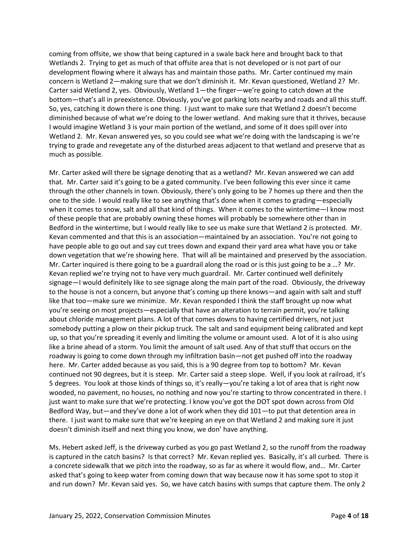coming from offsite, we show that being captured in a swale back here and brought back to that Wetlands 2. Trying to get as much of that offsite area that is not developed or is not part of our development flowing where it always has and maintain those paths. Mr. Carter continued my main concern is Wetland 2—making sure that we don't diminish it. Mr. Kevan questioned, Wetland 2? Mr. Carter said Wetland 2, yes. Obviously, Wetland 1—the finger—we're going to catch down at the bottom—that's all in preexistence. Obviously, you've got parking lots nearby and roads and all this stuff. So, yes, catching it down there is one thing. I just want to make sure that Wetland 2 doesn't become diminished because of what we're doing to the lower wetland. And making sure that it thrives, because I would imagine Wetland 3 is your main portion of the wetland, and some of it does spill over into Wetland 2. Mr. Kevan answered yes, so you could see what we're doing with the landscaping is we're trying to grade and revegetate any of the disturbed areas adjacent to that wetland and preserve that as much as possible.

Mr. Carter asked will there be signage denoting that as a wetland? Mr. Kevan answered we can add that. Mr. Carter said it's going to be a gated community. I've been following this ever since it came through the other channels in town. Obviously, there's only going to be 7 homes up there and then the one to the side. I would really like to see anything that's done when it comes to grading—especially when it comes to snow, salt and all that kind of things. When it comes to the wintertime—I know most of these people that are probably owning these homes will probably be somewhere other than in Bedford in the wintertime, but I would really like to see us make sure that Wetland 2 is protected. Mr. Kevan commented and that this is an association—maintained by an association. You're not going to have people able to go out and say cut trees down and expand their yard area what have you or take down vegetation that we're showing here. That will all be maintained and preserved by the association. Mr. Carter inquired is there going to be a guardrail along the road or is this just going to be a ...? Mr. Kevan replied we're trying not to have very much guardrail. Mr. Carter continued well definitely signage—I would definitely like to see signage along the main part of the road. Obviously, the driveway to the house is not a concern, but anyone that's coming up there knows—and again with salt and stuff like that too—make sure we minimize. Mr. Kevan responded I think the staff brought up now what you're seeing on most projects—especially that have an alteration to terrain permit, you're talking about chloride management plans. A lot of that comes downs to having certified drivers, not just somebody putting a plow on their pickup truck. The salt and sand equipment being calibrated and kept up, so that you're spreading it evenly and limiting the volume or amount used. A lot of it is also using like a brine ahead of a storm. You limit the amount of salt used. Any of that stuff that occurs on the roadway is going to come down through my infiltration basin—not get pushed off into the roadway here. Mr. Carter added because as you said, this is a 90 degree from top to bottom? Mr. Kevan continued not 90 degrees, but it is steep. Mr. Carter said a steep slope. Well, if you look at railroad, it's 5 degrees. You look at those kinds of things so, it's really—you're taking a lot of area that is right now wooded, no pavement, no houses, no nothing and now you're starting to throw concentrated in there. I just want to make sure that we're protecting. I know you've got the DOT spot down across from Old Bedford Way, but—and they've done a lot of work when they did 101—to put that detention area in there. I just want to make sure that we're keeping an eye on that Wetland 2 and making sure it just doesn't diminish itself and next thing you know, we don' have anything.

Ms. Hebert asked Jeff, is the driveway curbed as you go past Wetland 2, so the runoff from the roadway is captured in the catch basins? Is that correct? Mr. Kevan replied yes. Basically, it's all curbed. There is a concrete sidewalk that we pitch into the roadway, so as far as where it would flow, and… Mr. Carter asked that's going to keep water from coming down that way because now it has some spot to stop it and run down? Mr. Kevan said yes. So, we have catch basins with sumps that capture them. The only 2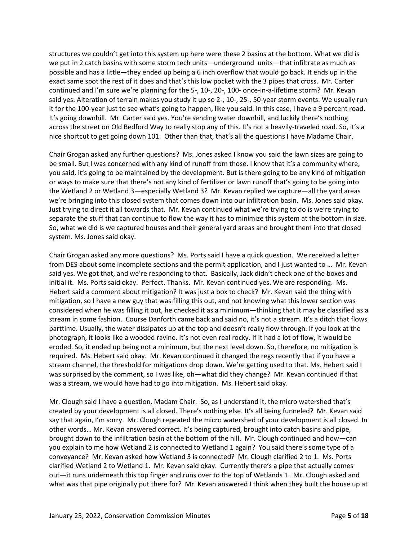structures we couldn't get into this system up here were these 2 basins at the bottom. What we did is we put in 2 catch basins with some storm tech units—underground units—that infiltrate as much as possible and has a little—they ended up being a 6 inch overflow that would go back. It ends up in the exact same spot the rest of it does and that's this low pocket with the 3 pipes that cross. Mr. Carter continued and I'm sure we're planning for the 5-, 10-, 20-, 100- once-in-a-lifetime storm? Mr. Kevan said yes. Alteration of terrain makes you study it up so 2-, 10-, 25-, 50-year storm events. We usually run it for the 100-year just to see what's going to happen, like you said. In this case, I have a 9 percent road. It's going downhill. Mr. Carter said yes. You're sending water downhill, and luckily there's nothing across the street on Old Bedford Way to really stop any of this. It's not a heavily-traveled road. So, it's a nice shortcut to get going down 101. Other than that, that's all the questions I have Madame Chair.

Chair Grogan asked any further questions? Ms. Jones asked I know you said the lawn sizes are going to be small. But I was concerned with any kind of runoff from those. I know that it's a community where, you said, it's going to be maintained by the development. But is there going to be any kind of mitigation or ways to make sure that there's not any kind of fertilizer or lawn runoff that's going to be going into the Wetland 2 or Wetland 3—especially Wetland 3? Mr. Kevan replied we capture—all the yard areas we're bringing into this closed system that comes down into our infiltration basin. Ms. Jones said okay. Just trying to direct it all towards that. Mr. Kevan continued what we're trying to do is we're trying to separate the stuff that can continue to flow the way it has to minimize this system at the bottom in size. So, what we did is we captured houses and their general yard areas and brought them into that closed system. Ms. Jones said okay.

Chair Grogan asked any more questions? Ms. Ports said I have a quick question. We received a letter from DES about some incomplete sections and the permit application, and I just wanted to … Mr. Kevan said yes. We got that, and we're responding to that. Basically, Jack didn't check one of the boxes and initial it. Ms. Ports said okay. Perfect. Thanks. Mr. Kevan continued yes. We are responding. Ms. Hebert said a comment about mitigation? It was just a box to check? Mr. Kevan said the thing with mitigation, so I have a new guy that was filling this out, and not knowing what this lower section was considered when he was filling it out, he checked it as a minimum—thinking that it may be classified as a stream in some fashion. Course Danforth came back and said no, it's not a stream. It's a ditch that flows parttime. Usually, the water dissipates up at the top and doesn't really flow through. If you look at the photograph, it looks like a wooded ravine. It's not even real rocky. If it had a lot of flow, it would be eroded. So, it ended up being not a minimum, but the next level down. So, therefore, no mitigation is required. Ms. Hebert said okay. Mr. Kevan continued it changed the regs recently that if you have a stream channel, the threshold for mitigations drop down. We're getting used to that. Ms. Hebert said I was surprised by the comment, so I was like, oh—what did they change? Mr. Kevan continued if that was a stream, we would have had to go into mitigation. Ms. Hebert said okay.

Mr. Clough said I have a question, Madam Chair. So, as I understand it, the micro watershed that's created by your development is all closed. There's nothing else. It's all being funneled? Mr. Kevan said say that again, I'm sorry. Mr. Clough repeated the micro watershed of your development is all closed. In other words… Mr. Kevan answered correct. It's being captured, brought into catch basins and pipe, brought down to the infiltration basin at the bottom of the hill. Mr. Clough continued and how—can you explain to me how Wetland 2 is connected to Wetland 1 again? You said there's some type of a conveyance? Mr. Kevan asked how Wetland 3 is connected? Mr. Clough clarified 2 to 1. Ms. Ports clarified Wetland 2 to Wetland 1. Mr. Kevan said okay. Currently there's a pipe that actually comes out—it runs underneath this top finger and runs over to the top of Wetlands 1. Mr. Clough asked and what was that pipe originally put there for? Mr. Kevan answered I think when they built the house up at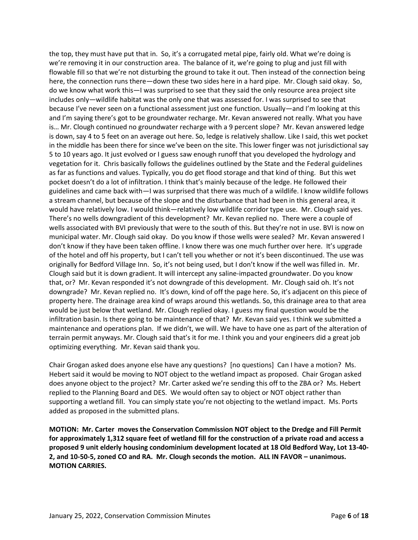the top, they must have put that in. So, it's a corrugated metal pipe, fairly old. What we're doing is we're removing it in our construction area. The balance of it, we're going to plug and just fill with flowable fill so that we're not disturbing the ground to take it out. Then instead of the connection being here, the connection runs there—down these two sides here in a hard pipe. Mr. Clough said okay. So, do we know what work this—I was surprised to see that they said the only resource area project site includes only—wildlife habitat was the only one that was assessed for. I was surprised to see that because I've never seen on a functional assessment just one function. Usually—and I'm looking at this and I'm saying there's got to be groundwater recharge. Mr. Kevan answered not really. What you have is… Mr. Clough continued no groundwater recharge with a 9 percent slope? Mr. Kevan answered ledge is down, say 4 to 5 feet on an average out here. So, ledge is relatively shallow. Like I said, this wet pocket in the middle has been there for since we've been on the site. This lower finger was not jurisdictional say 5 to 10 years ago. It just evolved or I guess saw enough runoff that you developed the hydrology and vegetation for it. Chris basically follows the guidelines outlined by the State and the Federal guidelines as far as functions and values. Typically, you do get flood storage and that kind of thing. But this wet pocket doesn't do a lot of infiltration. I think that's mainly because of the ledge. He followed their guidelines and came back with—I was surprised that there was much of a wildlife. I know wildlife follows a stream channel, but because of the slope and the disturbance that had been in this general area, it would have relatively low. I would think—relatively low wildlife corridor type use. Mr. Clough said yes. There's no wells downgradient of this development? Mr. Kevan replied no. There were a couple of wells associated with BVI previously that were to the south of this. But they're not in use. BVI is now on municipal water. Mr. Clough said okay. Do you know if those wells were sealed? Mr. Kevan answered I don't know if they have been taken offline. I know there was one much further over here. It's upgrade of the hotel and off his property, but I can't tell you whether or not it's been discontinued. The use was originally for Bedford Village Inn. So, it's not being used, but I don't know if the well was filled in. Mr. Clough said but it is down gradient. It will intercept any saline-impacted groundwater. Do you know that, or? Mr. Kevan responded it's not downgrade of this development. Mr. Clough said oh. It's not downgrade? Mr. Kevan replied no. It's down, kind of off the page here. So, it's adjacent on this piece of property here. The drainage area kind of wraps around this wetlands. So, this drainage area to that area would be just below that wetland. Mr. Clough replied okay. I guess my final question would be the infiltration basin. Is there going to be maintenance of that? Mr. Kevan said yes. I think we submitted a maintenance and operations plan. If we didn't, we will. We have to have one as part of the alteration of terrain permit anyways. Mr. Clough said that's it for me. I think you and your engineers did a great job optimizing everything. Mr. Kevan said thank you.

Chair Grogan asked does anyone else have any questions? [no questions] Can I have a motion? Ms. Hebert said it would be moving to NOT object to the wetland impact as proposed. Chair Grogan asked does anyone object to the project? Mr. Carter asked we're sending this off to the ZBA or? Ms. Hebert replied to the Planning Board and DES. We would often say to object or NOT object rather than supporting a wetland fill. You can simply state you're not objecting to the wetland impact. Ms. Ports added as proposed in the submitted plans.

**MOTION: Mr. Carter moves the Conservation Commission NOT object to the Dredge and Fill Permit for approximately 1,312 square feet of wetland fill for the construction of a private road and access a proposed 9 unit elderly housing condominium development located at 18 Old Bedford Way, Lot 13-40- 2, and 10-50-5, zoned CO and RA. Mr. Clough seconds the motion. ALL IN FAVOR – unanimous. MOTION CARRIES.**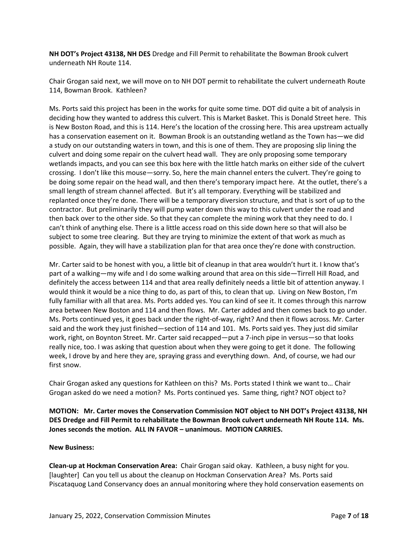**NH DOT's Project 43138, NH DES** Dredge and Fill Permit to rehabilitate the Bowman Brook culvert underneath NH Route 114.

Chair Grogan said next, we will move on to NH DOT permit to rehabilitate the culvert underneath Route 114, Bowman Brook. Kathleen?

Ms. Ports said this project has been in the works for quite some time. DOT did quite a bit of analysis in deciding how they wanted to address this culvert. This is Market Basket. This is Donald Street here. This is New Boston Road, and this is 114. Here's the location of the crossing here. This area upstream actually has a conservation easement on it. Bowman Brook is an outstanding wetland as the Town has—we did a study on our outstanding waters in town, and this is one of them. They are proposing slip lining the culvert and doing some repair on the culvert head wall. They are only proposing some temporary wetlands impacts, and you can see this box here with the little hatch marks on either side of the culvert crossing. I don't like this mouse—sorry. So, here the main channel enters the culvert. They're going to be doing some repair on the head wall, and then there's temporary impact here. At the outlet, there's a small length of stream channel affected. But it's all temporary. Everything will be stabilized and replanted once they're done. There will be a temporary diversion structure, and that is sort of up to the contractor. But preliminarily they will pump water down this way to this culvert under the road and then back over to the other side. So that they can complete the mining work that they need to do. I can't think of anything else. There is a little access road on this side down here so that will also be subject to some tree clearing. But they are trying to minimize the extent of that work as much as possible. Again, they will have a stabilization plan for that area once they're done with construction.

Mr. Carter said to be honest with you, a little bit of cleanup in that area wouldn't hurt it. I know that's part of a walking—my wife and I do some walking around that area on this side—Tirrell Hill Road, and definitely the access between 114 and that area really definitely needs a little bit of attention anyway. I would think it would be a nice thing to do, as part of this, to clean that up. Living on New Boston, I'm fully familiar with all that area. Ms. Ports added yes. You can kind of see it. It comes through this narrow area between New Boston and 114 and then flows. Mr. Carter added and then comes back to go under. Ms. Ports continued yes, it goes back under the right-of-way, right? And then it flows across. Mr. Carter said and the work they just finished—section of 114 and 101. Ms. Ports said yes. They just did similar work, right, on Boynton Street. Mr. Carter said recapped—put a 7-inch pipe in versus—so that looks really nice, too. I was asking that question about when they were going to get it done. The following week, I drove by and here they are, spraying grass and everything down. And, of course, we had our first snow.

Chair Grogan asked any questions for Kathleen on this? Ms. Ports stated I think we want to… Chair Grogan asked do we need a motion? Ms. Ports continued yes. Same thing, right? NOT object to?

**MOTION: Mr. Carter moves the Conservation Commission NOT object to NH DOT's Project 43138, NH DES Dredge and Fill Permit to rehabilitate the Bowman Brook culvert underneath NH Route 114. Ms. Jones seconds the motion. ALL IN FAVOR – unanimous. MOTION CARRIES.**

#### **New Business:**

**Clean-up at Hockman Conservation Area:** Chair Grogan said okay. Kathleen, a busy night for you. [laughter] Can you tell us about the cleanup on Hockman Conservation Area? Ms. Ports said Piscataquog Land Conservancy does an annual monitoring where they hold conservation easements on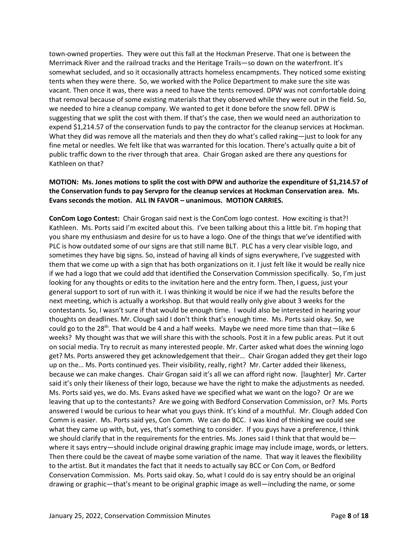town-owned properties. They were out this fall at the Hockman Preserve. That one is between the Merrimack River and the railroad tracks and the Heritage Trails—so down on the waterfront. It's somewhat secluded, and so it occasionally attracts homeless encampments. They noticed some existing tents when they were there. So, we worked with the Police Department to make sure the site was vacant. Then once it was, there was a need to have the tents removed. DPW was not comfortable doing that removal because of some existing materials that they observed while they were out in the field. So, we needed to hire a cleanup company. We wanted to get it done before the snow fell. DPW is suggesting that we split the cost with them. If that's the case, then we would need an authorization to expend \$1,214.57 of the conservation funds to pay the contractor for the cleanup services at Hockman. What they did was remove all the materials and then they do what's called raking—just to look for any fine metal or needles. We felt like that was warranted for this location. There's actually quite a bit of public traffic down to the river through that area. Chair Grogan asked are there any questions for Kathleen on that?

## **MOTION: Ms. Jones motions to split the cost with DPW and authorize the expenditure of \$1,214.57 of the Conservation funds to pay Servpro for the cleanup services at Hockman Conservation area. Ms. Evans seconds the motion. ALL IN FAVOR – unanimous. MOTION CARRIES.**

**ConCom Logo Contest:** Chair Grogan said next is the ConCom logo contest. How exciting is that?! Kathleen. Ms. Ports said I'm excited about this. I've been talking about this a little bit. I'm hoping that you share my enthusiasm and desire for us to have a logo. One of the things that we've identified with PLC is how outdated some of our signs are that still name BLT. PLC has a very clear visible logo, and sometimes they have big signs. So, instead of having all kinds of signs everywhere, I've suggested with them that we come up with a sign that has both organizations on it. I just felt like it would be really nice if we had a logo that we could add that identified the Conservation Commission specifically. So, I'm just looking for any thoughts or edits to the invitation here and the entry form. Then, I guess, just your general support to sort of run with it. I was thinking it would be nice if we had the results before the next meeting, which is actually a workshop. But that would really only give about 3 weeks for the contestants. So, I wasn't sure if that would be enough time. I would also be interested in hearing your thoughts on deadlines. Mr. Clough said I don't think that's enough time. Ms. Ports said okay. So, we could go to the 28<sup>th</sup>. That would be 4 and a half weeks. Maybe we need more time than that—like 6 weeks? My thought was that we will share this with the schools. Post it in a few public areas. Put it out on social media. Try to recruit as many interested people. Mr. Carter asked what does the winning logo get? Ms. Ports answered they get acknowledgement that their… Chair Grogan added they get their logo up on the… Ms. Ports continued yes. Their visibility, really, right? Mr. Carter added their likeness, because we can make changes. Chair Grogan said it's all we can afford right now. [laughter] Mr. Carter said it's only their likeness of their logo, because we have the right to make the adjustments as needed. Ms. Ports said yes, we do. Ms. Evans asked have we specified what we want on the logo? Or are we leaving that up to the contestants? Are we going with Bedford Conservation Commission, or? Ms. Ports answered I would be curious to hear what you guys think. It's kind of a mouthful. Mr. Clough added Con Comm is easier. Ms. Ports said yes, Con Comm. We can do BCC. I was kind of thinking we could see what they came up with, but, yes, that's something to consider. If you guys have a preference, I think we should clarify that in the requirements for the entries. Ms. Jones said I think that that would bewhere it says entry—should include original drawing graphic image may include image, words, or letters. Then there could be the caveat of maybe some variation of the name. That way it leaves the flexibility to the artist. But it mandates the fact that it needs to actually say BCC or Con Com, or Bedford Conservation Commission. Ms. Ports said okay. So, what I could do is say entry should be an original drawing or graphic—that's meant to be original graphic image as well—including the name, or some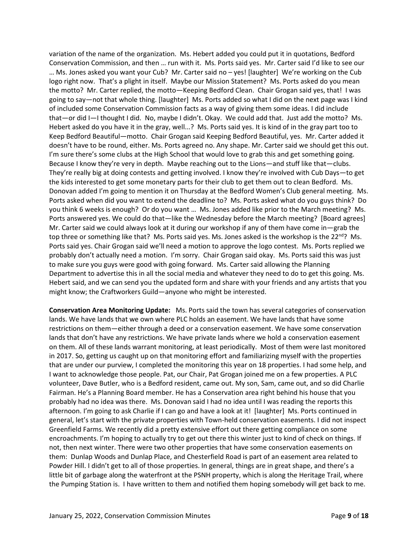variation of the name of the organization. Ms. Hebert added you could put it in quotations, Bedford Conservation Commission, and then … run with it. Ms. Ports said yes. Mr. Carter said I'd like to see our … Ms. Jones asked you want your Cub? Mr. Carter said no – yes! [laughter] We're working on the Cub logo right now. That's a plight in itself. Maybe our Mission Statement? Ms. Ports asked do you mean the motto? Mr. Carter replied, the motto—Keeping Bedford Clean. Chair Grogan said yes, that! I was going to say—not that whole thing. [laughter] Ms. Ports added so what I did on the next page was I kind of included some Conservation Commission facts as a way of giving them some ideas. I did include that—or did I—I thought I did. No, maybe I didn't. Okay. We could add that. Just add the motto? Ms. Hebert asked do you have it in the gray, well...? Ms. Ports said yes. It is kind of in the gray part too to Keep Bedford Beautiful—motto. Chair Grogan said Keeping Bedford Beautiful, yes. Mr. Carter added it doesn't have to be round, either. Ms. Ports agreed no. Any shape. Mr. Carter said we should get this out. I'm sure there's some clubs at the High School that would love to grab this and get something going. Because I know they're very in depth. Maybe reaching out to the Lions—and stuff like that—clubs. They're really big at doing contests and getting involved. I know they're involved with Cub Days—to get the kids interested to get some monetary parts for their club to get them out to clean Bedford. Ms. Donovan added I'm going to mention it on Thursday at the Bedford Women's Club general meeting. Ms. Ports asked when did you want to extend the deadline to? Ms. Ports asked what do you guys think? Do you think 6 weeks is enough? Or do you want … Ms. Jones added like prior to the March meeting? Ms. Ports answered yes. We could do that—like the Wednesday before the March meeting? [Board agrees] Mr. Carter said we could always look at it during our workshop if any of them have come in—grab the top three or something like that? Ms. Ports said yes. Ms. Jones asked is the workshop is the  $22^{nd}$ ? Ms. Ports said yes. Chair Grogan said we'll need a motion to approve the logo contest. Ms. Ports replied we probably don't actually need a motion. I'm sorry. Chair Grogan said okay. Ms. Ports said this was just to make sure you guys were good with going forward. Ms. Carter said allowing the Planning Department to advertise this in all the social media and whatever they need to do to get this going. Ms. Hebert said, and we can send you the updated form and share with your friends and any artists that you might know; the Craftworkers Guild—anyone who might be interested.

**Conservation Area Monitoring Update:** Ms. Ports said the town has several categories of conservation lands. We have lands that we own where PLC holds an easement. We have lands that have some restrictions on them—either through a deed or a conservation easement. We have some conservation lands that don't have any restrictions. We have private lands where we hold a conservation easement on them. All of these lands warrant monitoring, at least periodically. Most of them were last monitored in 2017. So, getting us caught up on that monitoring effort and familiarizing myself with the properties that are under our purview, I completed the monitoring this year on 18 properties. I had some help, and I want to acknowledge those people. Pat, our Chair, Pat Grogan joined me on a few properties. A PLC volunteer, Dave Butler, who is a Bedford resident, came out. My son, Sam, came out, and so did Charlie Fairman. He's a Planning Board member. He has a Conservation area right behind his house that you probably had no idea was there. Ms. Donovan said I had no idea until I was reading the reports this afternoon. I'm going to ask Charlie if I can go and have a look at it! [laughter] Ms. Ports continued in general, let's start with the private properties with Town-held conservation easements. I did not inspect Greenfield Farms. We recently did a pretty extensive effort out there getting compliance on some encroachments. I'm hoping to actually try to get out there this winter just to kind of check on things. If not, then next winter. There were two other properties that have some conservation easements on them: Dunlap Woods and Dunlap Place, and Chesterfield Road is part of an easement area related to Powder Hill. I didn't get to all of those properties. In general, things are in great shape, and there's a little bit of garbage along the waterfront at the PSNH property, which is along the Heritage Trail, where the Pumping Station is. I have written to them and notified them hoping somebody will get back to me.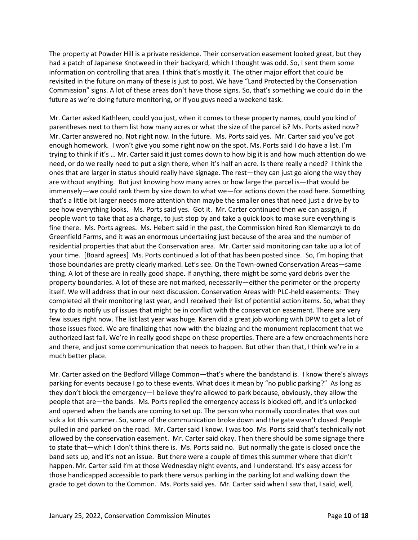The property at Powder Hill is a private residence. Their conservation easement looked great, but they had a patch of Japanese Knotweed in their backyard, which I thought was odd. So, I sent them some information on controlling that area. I think that's mostly it. The other major effort that could be revisited in the future on many of these is just to post. We have "Land Protected by the Conservation Commission" signs. A lot of these areas don't have those signs. So, that's something we could do in the future as we're doing future monitoring, or if you guys need a weekend task.

Mr. Carter asked Kathleen, could you just, when it comes to these property names, could you kind of parentheses next to them list how many acres or what the size of the parcel is? Ms. Ports asked now? Mr. Carter answered no. Not right now. In the future. Ms. Ports said yes. Mr. Carter said you've got enough homework. I won't give you some right now on the spot. Ms. Ports said I do have a list. I'm trying to think if it's … Mr. Carter said it just comes down to how big it is and how much attention do we need, or do we really need to put a sign there, when it's half an acre. Is there really a need? I think the ones that are larger in status should really have signage. The rest—they can just go along the way they are without anything. But just knowing how many acres or how large the parcel is—that would be immensely—we could rank them by size down to what we—for actions down the road here. Something that's a little bit larger needs more attention than maybe the smaller ones that need just a drive by to see how everything looks. Ms. Ports said yes. Got it. Mr. Carter continued then we can assign, if people want to take that as a charge, to just stop by and take a quick look to make sure everything is fine there. Ms. Ports agrees. Ms. Hebert said in the past, the Commission hired Ron Klemarczyk to do Greenfield Farms, and it was an enormous undertaking just because of the area and the number of residential properties that abut the Conservation area. Mr. Carter said monitoring can take up a lot of your time. [Board agrees] Ms. Ports continued a lot of that has been posted since. So, I'm hoping that those boundaries are pretty clearly marked. Let's see. On the Town-owned Conservation Areas—same thing. A lot of these are in really good shape. If anything, there might be some yard debris over the property boundaries. A lot of these are not marked, necessarily—either the perimeter or the property itself. We will address that in our next discussion. Conservation Areas with PLC-held easements: They completed all their monitoring last year, and I received their list of potential action items. So, what they try to do is notify us of issues that might be in conflict with the conservation easement. There are very few issues right now. The list last year was huge. Karen did a great job working with DPW to get a lot of those issues fixed. We are finalizing that now with the blazing and the monument replacement that we authorized last fall. We're in really good shape on these properties. There are a few encroachments here and there, and just some communication that needs to happen. But other than that, I think we're in a much better place.

Mr. Carter asked on the Bedford Village Common—that's where the bandstand is. I know there's always parking for events because I go to these events. What does it mean by "no public parking?" As long as they don't block the emergency—I believe they're allowed to park because, obviously, they allow the people that are—the bands. Ms. Ports replied the emergency access is blocked off, and it's unlocked and opened when the bands are coming to set up. The person who normally coordinates that was out sick a lot this summer. So, some of the communication broke down and the gate wasn't closed. People pulled in and parked on the road. Mr. Carter said I know. I was too. Ms. Ports said that's technically not allowed by the conservation easement. Mr. Carter said okay. Then there should be some signage there to state that—which I don't think there is. Ms. Ports said no. But normally the gate is closed once the band sets up, and it's not an issue. But there were a couple of times this summer where that didn't happen. Mr. Carter said I'm at those Wednesday night events, and I understand. It's easy access for those handicapped accessible to park there versus parking in the parking lot and walking down the grade to get down to the Common. Ms. Ports said yes. Mr. Carter said when I saw that, I said, well,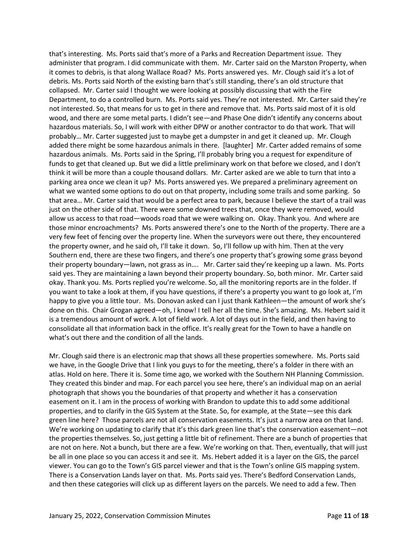that's interesting. Ms. Ports said that's more of a Parks and Recreation Department issue. They administer that program. I did communicate with them. Mr. Carter said on the Marston Property, when it comes to debris, is that along Wallace Road? Ms. Ports answered yes. Mr. Clough said it's a lot of debris. Ms. Ports said North of the existing barn that's still standing, there's an old structure that collapsed. Mr. Carter said I thought we were looking at possibly discussing that with the Fire Department, to do a controlled burn. Ms. Ports said yes. They're not interested. Mr. Carter said they're not interested. So, that means for us to get in there and remove that. Ms. Ports said most of it is old wood, and there are some metal parts. I didn't see—and Phase One didn't identify any concerns about hazardous materials. So, I will work with either DPW or another contractor to do that work. That will probably… Mr. Carter suggested just to maybe get a dumpster in and get it cleaned up. Mr. Clough added there might be some hazardous animals in there. [laughter] Mr. Carter added remains of some hazardous animals. Ms. Ports said in the Spring, I'll probably bring you a request for expenditure of funds to get that cleaned up. But we did a little preliminary work on that before we closed, and I don't think it will be more than a couple thousand dollars. Mr. Carter asked are we able to turn that into a parking area once we clean it up? Ms. Ports answered yes. We prepared a preliminary agreement on what we wanted some options to do out on that property, including some trails and some parking. So that area… Mr. Carter said that would be a perfect area to park, because I believe the start of a trail was just on the other side of that. There were some downed trees that, once they were removed, would allow us access to that road—woods road that we were walking on. Okay. Thank you. And where are those minor encroachments? Ms. Ports answered there's one to the North of the property. There are a very few feet of fencing over the property line. When the surveyors were out there, they encountered the property owner, and he said oh, I'll take it down. So, I'll follow up with him. Then at the very Southern end, there are these two fingers, and there's one property that's growing some grass beyond their property boundary—lawn, not grass as in…. Mr. Carter said they're keeping up a lawn. Ms. Ports said yes. They are maintaining a lawn beyond their property boundary. So, both minor. Mr. Carter said okay. Thank you. Ms. Ports replied you're welcome. So, all the monitoring reports are in the folder. If you want to take a look at them, if you have questions, if there's a property you want to go look at, I'm happy to give you a little tour. Ms. Donovan asked can I just thank Kathleen—the amount of work she's done on this. Chair Grogan agreed—oh, I know! I tell her all the time. She's amazing. Ms. Hebert said it is a tremendous amount of work. A lot of field work. A lot of days out in the field, and then having to consolidate all that information back in the office. It's really great for the Town to have a handle on what's out there and the condition of all the lands.

Mr. Clough said there is an electronic map that shows all these properties somewhere. Ms. Ports said we have, in the Google Drive that I link you guys to for the meeting, there's a folder in there with an atlas. Hold on here. There it is. Some time ago, we worked with the Southern NH Planning Commission. They created this binder and map. For each parcel you see here, there's an individual map on an aerial photograph that shows you the boundaries of that property and whether it has a conservation easement on it. I am in the process of working with Brandon to update this to add some additional properties, and to clarify in the GIS System at the State. So, for example, at the State—see this dark green line here? Those parcels are not all conservation easements. It's just a narrow area on that land. We're working on updating to clarify that it's this dark green line that's the conservation easement—not the properties themselves. So, just getting a little bit of refinement. There are a bunch of properties that are not on here. Not a bunch, but there are a few. We're working on that. Then, eventually, that will just be all in one place so you can access it and see it. Ms. Hebert added it is a layer on the GIS, the parcel viewer. You can go to the Town's GIS parcel viewer and that is the Town's online GIS mapping system. There is a Conservation Lands layer on that. Ms. Ports said yes. There's Bedford Conservation Lands, and then these categories will click up as different layers on the parcels. We need to add a few. Then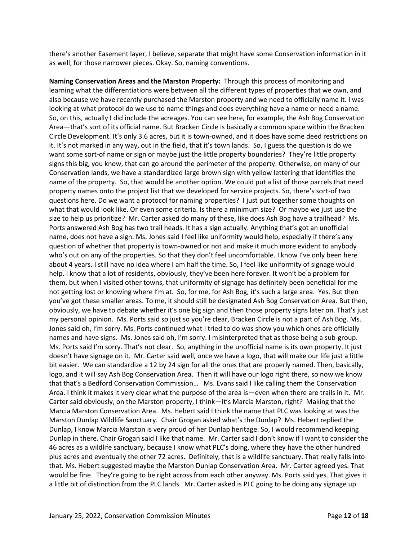there's another Easement layer, I believe, separate that might have some Conservation information in it as well, for those narrower pieces. Okay. So, naming conventions.

**Naming Conservation Areas and the Marston Property:** Through this process of monitoring and learning what the differentiations were between all the different types of properties that we own, and also because we have recently purchased the Marston property and we need to officially name it. I was looking at what protocol do we use to name things and does everything have a name or need a name. So, on this, actually I did include the acreages. You can see here, for example, the Ash Bog Conservation Area—that's sort of its official name. But Bracken Circle is basically a common space within the Bracken Circle Development. It's only 3.6 acres, but it is town-owned, and it does have some deed restrictions on it. It's not marked in any way, out in the field, that it's town lands. So, I guess the question is do we want some sort-of name or sign or maybe just the little property boundaries? They're little property signs this big, you know, that can go around the perimeter of the property. Otherwise, on many of our Conservation lands, we have a standardized large brown sign with yellow lettering that identifies the name of the property. So, that would be another option. We could put a list of those parcels that need property names onto the project list that we developed for service projects. So, there's sort-of two questions here. Do we want a protocol for naming properties? I just put together some thoughts on what that would look like. Or even some criteria. Is there a minimum size? Or maybe we just use the size to help us prioritize? Mr. Carter asked do many of these, like does Ash Bog have a trailhead? Ms. Ports answered Ash Bog has two trail heads. It has a sign actually. Anything that's got an unofficial name, does not have a sign. Ms. Jones said I feel like uniformity would help, especially if there's any question of whether that property is town-owned or not and make it much more evident to anybody who's out on any of the properties. So that they don't feel uncomfortable. I know I've only been here about 4 years. I still have no idea where I am half the time. So, I feel like uniformity of signage would help. I know that a lot of residents, obviously, they've been here forever. It won't be a problem for them, but when I visited other towns, that uniformity of signage has definitely been beneficial for me not getting lost or knowing where I'm at. So, for me, for Ash Bog, it's such a large area. Yes. But then you've got these smaller areas. To me, it should still be designated Ash Bog Conservation Area. But then, obviously, we have to debate whether it's one big sign and then those property signs later on. That's just my personal opinion. Ms. Ports said so just so you're clear, Bracken Circle is not a part of Ash Bog. Ms. Jones said oh, I'm sorry. Ms. Ports continued what I tried to do was show you which ones are officially names and have signs. Ms. Jones said oh, I'm sorry. I misinterpreted that as those being a sub-group. Ms. Ports said I'm sorry. That's not clear. So, anything in the unofficial name is its own property. It just doesn't have signage on it. Mr. Carter said well, once we have a logo, that will make our life just a little bit easier. We can standardize a 12 by 24 sign for all the ones that are properly named. Then, basically, logo, and it will say Ash Bog Conservation Area. Then it will have our logo right there, so now we know that that's a Bedford Conservation Commission… Ms. Evans said I like calling them the Conservation Area. I think it makes it very clear what the purpose of the area is—even when there are trails in it. Mr. Carter said obviously, on the Marston property, I think—it's Marcia Marston, right? Making that the Marcia Marston Conservation Area. Ms. Hebert said I think the name that PLC was looking at was the Marston Dunlap Wildlife Sanctuary. Chair Grogan asked what's the Dunlap? Ms. Hebert replied the Dunlap, I know Marcia Marston is very proud of her Dunlap heritage. So, I would recommend keeping Dunlap in there. Chair Grogan said I like that name. Mr. Carter said I don't know if I want to consider the 46 acres as a wildlife sanctuary, because I know what PLC's doing, where they have the other hundred plus acres and eventually the other 72 acres. Definitely, that is a wildlife sanctuary. That really falls into that. Ms. Hebert suggested maybe the Marston Dunlap Conservation Area. Mr. Carter agreed yes. That would be fine. They're going to be right across from each other anyway. Ms. Ports said yes. That gives it a little bit of distinction from the PLC lands. Mr. Carter asked is PLC going to be doing any signage up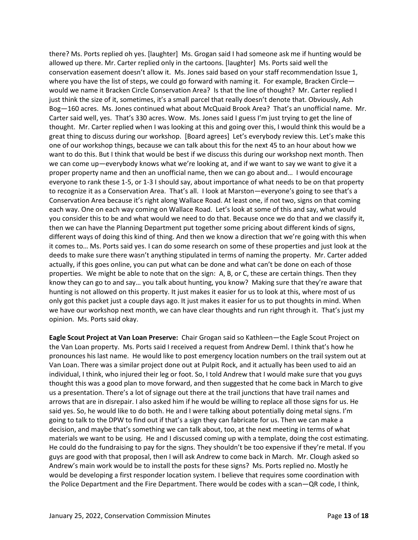there? Ms. Ports replied oh yes. [laughter] Ms. Grogan said I had someone ask me if hunting would be allowed up there. Mr. Carter replied only in the cartoons. [laughter] Ms. Ports said well the conservation easement doesn't allow it. Ms. Jones said based on your staff recommendation Issue 1, where you have the list of steps, we could go forward with naming it. For example, Bracken Circle would we name it Bracken Circle Conservation Area? Is that the line of thought? Mr. Carter replied I just think the size of it, sometimes, it's a small parcel that really doesn't denote that. Obviously, Ash Bog—160 acres. Ms. Jones continued what about McQuaid Brook Area? That's an unofficial name. Mr. Carter said well, yes. That's 330 acres. Wow. Ms. Jones said I guess I'm just trying to get the line of thought. Mr. Carter replied when I was looking at this and going over this, I would think this would be a great thing to discuss during our workshop. [Board agrees] Let's everybody review this. Let's make this one of our workshop things, because we can talk about this for the next 45 to an hour about how we want to do this. But I think that would be best if we discuss this during our workshop next month. Then we can come up—everybody knows what we're looking at, and if we want to say we want to give it a proper property name and then an unofficial name, then we can go about and… I would encourage everyone to rank these 1-5, or 1-3 I should say, about importance of what needs to be on that property to recognize it as a Conservation Area. That's all. I look at Marston—everyone's going to see that's a Conservation Area because it's right along Wallace Road. At least one, if not two, signs on that coming each way. One on each way coming on Wallace Road. Let's look at some of this and say, what would you consider this to be and what would we need to do that. Because once we do that and we classify it, then we can have the Planning Department put together some pricing about different kinds of signs, different ways of doing this kind of thing. And then we know a direction that we're going with this when it comes to… Ms. Ports said yes. I can do some research on some of these properties and just look at the deeds to make sure there wasn't anything stipulated in terms of naming the property. Mr. Carter added actually, if this goes online, you can put what can be done and what can't be done on each of those properties. We might be able to note that on the sign: A, B, or C, these are certain things. Then they know they can go to and say… you talk about hunting, you know? Making sure that they're aware that hunting is not allowed on this property. It just makes it easier for us to look at this, where most of us only got this packet just a couple days ago. It just makes it easier for us to put thoughts in mind. When we have our workshop next month, we can have clear thoughts and run right through it. That's just my opinion. Ms. Ports said okay.

**Eagle Scout Project at Van Loan Preserve:** Chair Grogan said so Kathleen—the Eagle Scout Project on the Van Loan property. Ms. Ports said I received a request from Andrew Deml. I think that's how he pronounces his last name. He would like to post emergency location numbers on the trail system out at Van Loan. There was a similar project done out at Pulpit Rock, and it actually has been used to aid an individual, I think, who injured their leg or foot. So, I told Andrew that I would make sure that you guys thought this was a good plan to move forward, and then suggested that he come back in March to give us a presentation. There's a lot of signage out there at the trail junctions that have trail names and arrows that are in disrepair. I also asked him if he would be willing to replace all those signs for us. He said yes. So, he would like to do both. He and I were talking about potentially doing metal signs. I'm going to talk to the DPW to find out if that's a sign they can fabricate for us. Then we can make a decision, and maybe that's something we can talk about, too, at the next meeting in terms of what materials we want to be using. He and I discussed coming up with a template, doing the cost estimating. He could do the fundraising to pay for the signs. They shouldn't be too expensive if they're metal. If you guys are good with that proposal, then I will ask Andrew to come back in March. Mr. Clough asked so Andrew's main work would be to install the posts for these signs? Ms. Ports replied no. Mostly he would be developing a first responder location system. I believe that requires some coordination with the Police Department and the Fire Department. There would be codes with a scan—QR code, I think,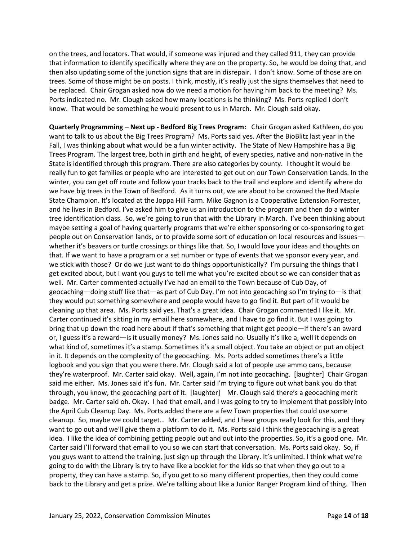on the trees, and locators. That would, if someone was injured and they called 911, they can provide that information to identify specifically where they are on the property. So, he would be doing that, and then also updating some of the junction signs that are in disrepair. I don't know. Some of those are on trees. Some of those might be on posts. I think, mostly, it's really just the signs themselves that need to be replaced. Chair Grogan asked now do we need a motion for having him back to the meeting? Ms. Ports indicated no. Mr. Clough asked how many locations is he thinking? Ms. Ports replied I don't know. That would be something he would present to us in March. Mr. Clough said okay.

**Quarterly Programming – Next up - Bedford Big Trees Program:** Chair Grogan asked Kathleen, do you want to talk to us about the Big Trees Program? Ms. Ports said yes. After the BioBlitz last year in the Fall, I was thinking about what would be a fun winter activity. The State of New Hampshire has a Big Trees Program. The largest tree, both in girth and height, of every species, native and non-native in the State is identified through this program. There are also categories by county. I thought it would be really fun to get families or people who are interested to get out on our Town Conservation Lands. In the winter, you can get off route and follow your tracks back to the trail and explore and identify where do we have big trees in the Town of Bedford. As it turns out, we are about to be crowned the Red Maple State Champion. It's located at the Joppa Hill Farm. Mike Gagnon is a Cooperative Extension Forrester, and he lives in Bedford. I've asked him to give us an introduction to the program and then do a winter tree identification class. So, we're going to run that with the Library in March. I've been thinking about maybe setting a goal of having quarterly programs that we're either sponsoring or co-sponsoring to get people out on Conservation lands, or to provide some sort of education on local resources and issues whether it's beavers or turtle crossings or things like that. So, I would love your ideas and thoughts on that. If we want to have a program or a set number or type of events that we sponsor every year, and we stick with those? Or do we just want to do things opportunistically? I'm pursuing the things that I get excited about, but I want you guys to tell me what you're excited about so we can consider that as well. Mr. Carter commented actually I've had an email to the Town because of Cub Day, of geocaching—doing stuff like that—as part of Cub Day. I'm not into geocaching so I'm trying to—is that they would put something somewhere and people would have to go find it. But part of it would be cleaning up that area. Ms. Ports said yes. That's a great idea. Chair Grogan commented I like it. Mr. Carter continued it's sitting in my email here somewhere, and I have to go find it. But I was going to bring that up down the road here about if that's something that might get people—if there's an award or, I guess it's a reward—is it usually money? Ms. Jones said no. Usually it's like a, well it depends on what kind of, sometimes it's a stamp. Sometimes it's a small object. You take an object or put an object in it. It depends on the complexity of the geocaching. Ms. Ports added sometimes there's a little logbook and you sign that you were there. Mr. Clough said a lot of people use ammo cans, because they're waterproof. Mr. Carter said okay. Well, again, I'm not into geocaching. [laughter] Chair Grogan said me either. Ms. Jones said it's fun. Mr. Carter said I'm trying to figure out what bank you do that through, you know, the geocaching part of it. [laughter] Mr. Clough said there's a geocaching merit badge. Mr. Carter said oh. Okay. I had that email, and I was going to try to implement that possibly into the April Cub Cleanup Day. Ms. Ports added there are a few Town properties that could use some cleanup. So, maybe we could target… Mr. Carter added, and I hear groups really look for this, and they want to go out and we'll give them a platform to do it. Ms. Ports said I think the geocaching is a great idea. I like the idea of combining getting people out and out into the properties. So, it's a good one. Mr. Carter said I'll forward that email to you so we can start that conversation. Ms. Ports said okay. So, if you guys want to attend the training, just sign up through the Library. It's unlimited. I think what we're going to do with the Library is try to have like a booklet for the kids so that when they go out to a property, they can have a stamp. So, if you get to so many different properties, then they could come back to the Library and get a prize. We're talking about like a Junior Ranger Program kind of thing. Then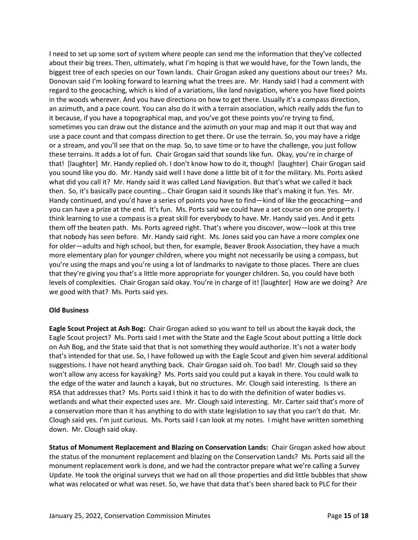I need to set up some sort of system where people can send me the information that they've collected about their big trees. Then, ultimately, what I'm hoping is that we would have, for the Town lands, the biggest tree of each species on our Town lands. Chair Grogan asked any questions about our trees? Ms. Donovan said I'm looking forward to learning what the trees are. Mr. Handy said I had a comment with regard to the geocaching, which is kind of a variations, like land navigation, where you have fixed points in the woods wherever. And you have directions on how to get there. Usually it's a compass direction, an azimuth, and a pace count. You can also do it with a terrain association, which really adds the fun to it because, if you have a topographical map, and you've got these points you're trying to find, sometimes you can draw out the distance and the azimuth on your map and map it out that way and use a pace count and that compass direction to get there. Or use the terrain. So, you may have a ridge or a stream, and you'll see that on the map. So, to save time or to have the challenge, you just follow these terrains. It adds a lot of fun. Chair Grogan said that sounds like fun. Okay, you're in charge of that! [laughter] Mr. Handy replied oh. I don't know how to do it, though! [laughter] Chair Grogan said you sound like you do. Mr. Handy said well I have done a little bit of it for the military. Ms. Ports asked what did you call it? Mr. Handy said it was called Land Navigation. But that's what we called it back then. So, it's basically pace counting… Chair Grogan said it sounds like that's making it fun. Yes. Mr. Handy continued, and you'd have a series of points you have to find—kind of like the geocaching—and you can have a prize at the end. It's fun. Ms. Ports said we could have a set course on one property. I think learning to use a compass is a great skill for everybody to have. Mr. Handy said yes. And it gets them off the beaten path. Ms. Ports agreed right. That's where you discover, wow—look at this tree that nobody has seen before. Mr. Handy said right. Ms. Jones said you can have a more complex one for older—adults and high school, but then, for example, Beaver Brook Association, they have a much more elementary plan for younger children, where you might not necessarily be using a compass, but you're using the maps and you're using a lot of landmarks to navigate to those places. There are clues that they're giving you that's a little more appropriate for younger children. So, you could have both levels of complexities. Chair Grogan said okay. You're in charge of it! [laughter] How are we doing? Are we good with that? Ms. Ports said yes.

## **Old Business**

**Eagle Scout Project at Ash Bog:** Chair Grogan asked so you want to tell us about the kayak dock, the Eagle Scout project? Ms. Ports said I met with the State and the Eagle Scout about putting a little dock on Ash Bog, and the State said that that is not something they would authorize. It's not a water body that's intended for that use. So, I have followed up with the Eagle Scout and given him several additional suggestions. I have not heard anything back. Chair Grogan said oh. Too bad! Mr. Clough said so they won't allow any access for kayaking? Ms. Ports said you could put a kayak in there. You could walk to the edge of the water and launch a kayak, but no structures. Mr. Clough said interesting. Is there an RSA that addresses that? Ms. Ports said I think it has to do with the definition of water bodies vs. wetlands and what their expected uses are. Mr. Clough said interesting. Mr. Carter said that's more of a conservation more than it has anything to do with state legislation to say that you can't do that. Mr. Clough said yes. I'm just curious. Ms. Ports said I can look at my notes. I might have written something down. Mr. Clough said okay.

**Status of Monument Replacement and Blazing on Conservation Lands:** Chair Grogan asked how about the status of the monument replacement and blazing on the Conservation Lands? Ms. Ports said all the monument replacement work is done, and we had the contractor prepare what we're calling a Survey Update. He took the original surveys that we had on all those properties and did little bubbles that show what was relocated or what was reset. So, we have that data that's been shared back to PLC for their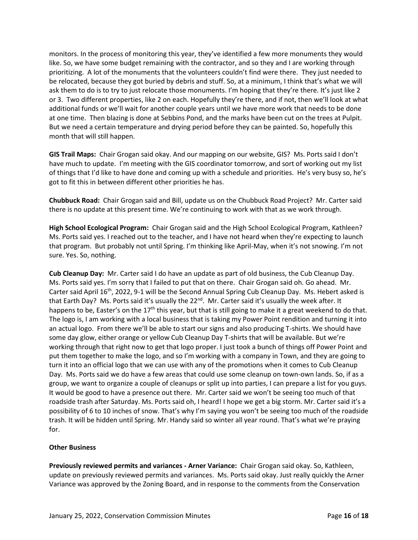monitors. In the process of monitoring this year, they've identified a few more monuments they would like. So, we have some budget remaining with the contractor, and so they and I are working through prioritizing. A lot of the monuments that the volunteers couldn't find were there. They just needed to be relocated, because they got buried by debris and stuff. So, at a minimum, I think that's what we will ask them to do is to try to just relocate those monuments. I'm hoping that they're there. It's just like 2 or 3. Two different properties, like 2 on each. Hopefully they're there, and if not, then we'll look at what additional funds or we'll wait for another couple years until we have more work that needs to be done at one time. Then blazing is done at Sebbins Pond, and the marks have been cut on the trees at Pulpit. But we need a certain temperature and drying period before they can be painted. So, hopefully this month that will still happen.

**GIS Trail Maps:** Chair Grogan said okay. And our mapping on our website, GIS? Ms. Ports said I don't have much to update. I'm meeting with the GIS coordinator tomorrow, and sort of working out my list of things that I'd like to have done and coming up with a schedule and priorities. He's very busy so, he's got to fit this in between different other priorities he has.

**Chubbuck Road:** Chair Grogan said and Bill, update us on the Chubbuck Road Project? Mr. Carter said there is no update at this present time. We're continuing to work with that as we work through.

**High School Ecological Program:** Chair Grogan said and the High School Ecological Program, Kathleen? Ms. Ports said yes. I reached out to the teacher, and I have not heard when they're expecting to launch that program. But probably not until Spring. I'm thinking like April-May, when it's not snowing. I'm not sure. Yes. So, nothing.

**Cub Cleanup Day:** Mr. Carter said I do have an update as part of old business, the Cub Cleanup Day. Ms. Ports said yes. I'm sorry that I failed to put that on there. Chair Grogan said oh. Go ahead. Mr. Carter said April 16<sup>th</sup>, 2022, 9-1 will be the Second Annual Spring Cub Cleanup Day. Ms. Hebert asked is that Earth Day? Ms. Ports said it's usually the  $22^{nd}$ . Mr. Carter said it's usually the week after. It happens to be, Easter's on the  $17<sup>th</sup>$  this year, but that is still going to make it a great weekend to do that. The logo is, I am working with a local business that is taking my Power Point rendition and turning it into an actual logo. From there we'll be able to start our signs and also producing T-shirts. We should have some day glow, either orange or yellow Cub Cleanup Day T-shirts that will be available. But we're working through that right now to get that logo proper. I just took a bunch of things off Power Point and put them together to make the logo, and so I'm working with a company in Town, and they are going to turn it into an official logo that we can use with any of the promotions when it comes to Cub Cleanup Day. Ms. Ports said we do have a few areas that could use some cleanup on town-own lands. So, if as a group, we want to organize a couple of cleanups or split up into parties, I can prepare a list for you guys. It would be good to have a presence out there. Mr. Carter said we won't be seeing too much of that roadside trash after Saturday. Ms. Ports said oh, I heard! I hope we get a big storm. Mr. Carter said it's a possibility of 6 to 10 inches of snow. That's why I'm saying you won't be seeing too much of the roadside trash. It will be hidden until Spring. Mr. Handy said so winter all year round. That's what we're praying for.

## **Other Business**

**Previously reviewed permits and variances - Arner Variance:** Chair Grogan said okay. So, Kathleen, update on previously reviewed permits and variances. Ms. Ports said okay. Just really quickly the Arner Variance was approved by the Zoning Board, and in response to the comments from the Conservation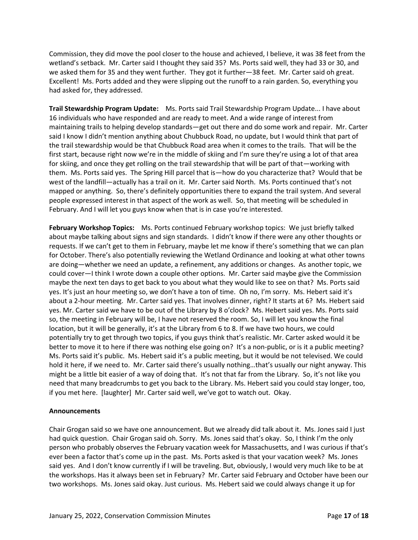Commission, they did move the pool closer to the house and achieved, I believe, it was 38 feet from the wetland's setback. Mr. Carter said I thought they said 35? Ms. Ports said well, they had 33 or 30, and we asked them for 35 and they went further. They got it further—38 feet. Mr. Carter said oh great. Excellent! Ms. Ports added and they were slipping out the runoff to a rain garden. So, everything you had asked for, they addressed.

**Trail Stewardship Program Update:** Ms. Ports said Trail Stewardship Program Update... I have about 16 individuals who have responded and are ready to meet. And a wide range of interest from maintaining trails to helping develop standards—get out there and do some work and repair. Mr. Carter said I know I didn't mention anything about Chubbuck Road, no update, but I would think that part of the trail stewardship would be that Chubbuck Road area when it comes to the trails. That will be the first start, because right now we're in the middle of skiing and I'm sure they're using a lot of that area for skiing, and once they get rolling on the trail stewardship that will be part of that—working with them. Ms. Ports said yes. The Spring Hill parcel that is—how do you characterize that? Would that be west of the landfill—actually has a trail on it. Mr. Carter said North. Ms. Ports continued that's not mapped or anything. So, there's definitely opportunities there to expand the trail system. And several people expressed interest in that aspect of the work as well. So, that meeting will be scheduled in February. And I will let you guys know when that is in case you're interested.

**February Workshop Topics:** Ms. Ports continued February workshop topics: We just briefly talked about maybe talking about signs and sign standards. I didn't know if there were any other thoughts or requests. If we can't get to them in February, maybe let me know if there's something that we can plan for October. There's also potentially reviewing the Wetland Ordinance and looking at what other towns are doing—whether we need an update, a refinement, any additions or changes. As another topic, we could cover—I think I wrote down a couple other options. Mr. Carter said maybe give the Commission maybe the next ten days to get back to you about what they would like to see on that? Ms. Ports said yes. It's just an hour meeting so, we don't have a ton of time. Oh no, I'm sorry. Ms. Hebert said it's about a 2-hour meeting. Mr. Carter said yes. That involves dinner, right? It starts at 6? Ms. Hebert said yes. Mr. Carter said we have to be out of the Library by 8 o'clock? Ms. Hebert said yes. Ms. Ports said so, the meeting in February will be, I have not reserved the room. So, I will let you know the final location, but it will be generally, it's at the Library from 6 to 8. If we have two hours, we could potentially try to get through two topics, if you guys think that's realistic. Mr. Carter asked would it be better to move it to here if there was nothing else going on? It's a non-public, or is it a public meeting? Ms. Ports said it's public. Ms. Hebert said it's a public meeting, but it would be not televised. We could hold it here, if we need to. Mr. Carter said there's usually nothing…that's usually our night anyway. This might be a little bit easier of a way of doing that. It's not that far from the Library. So, it's not like you need that many breadcrumbs to get you back to the Library. Ms. Hebert said you could stay longer, too, if you met here. [laughter] Mr. Carter said well, we've got to watch out. Okay.

## **Announcements**

Chair Grogan said so we have one announcement. But we already did talk about it. Ms. Jones said I just had quick question. Chair Grogan said oh. Sorry. Ms. Jones said that's okay. So, I think I'm the only person who probably observes the February vacation week for Massachusetts, and I was curious if that's ever been a factor that's come up in the past. Ms. Ports asked is that your vacation week? Ms. Jones said yes. And I don't know currently if I will be traveling. But, obviously, I would very much like to be at the workshops. Has it always been set in February? Mr. Carter said February and October have been our two workshops. Ms. Jones said okay. Just curious. Ms. Hebert said we could always change it up for